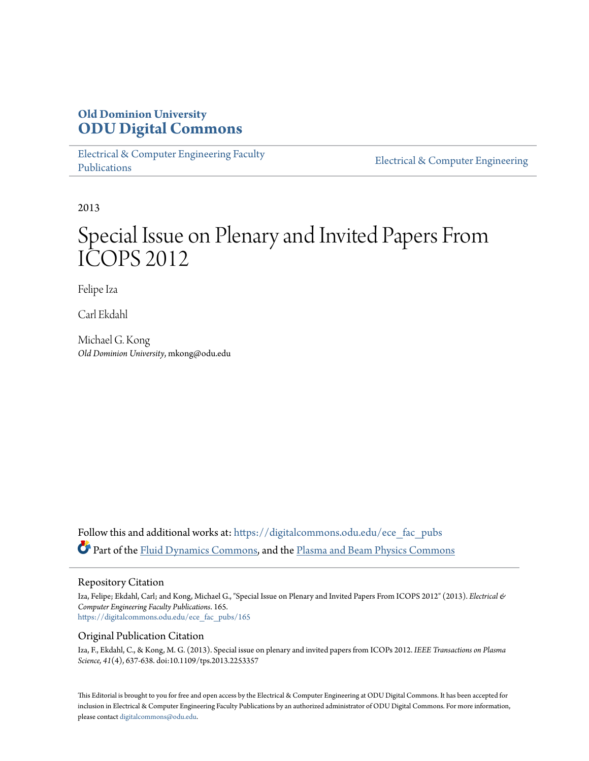### **Old Dominion University [ODU Digital Commons](https://digitalcommons.odu.edu?utm_source=digitalcommons.odu.edu%2Fece_fac_pubs%2F165&utm_medium=PDF&utm_campaign=PDFCoverPages)**

[Electrical & Computer Engineering Faculty](https://digitalcommons.odu.edu/ece_fac_pubs?utm_source=digitalcommons.odu.edu%2Fece_fac_pubs%2F165&utm_medium=PDF&utm_campaign=PDFCoverPages) [Publications](https://digitalcommons.odu.edu/ece_fac_pubs?utm_source=digitalcommons.odu.edu%2Fece_fac_pubs%2F165&utm_medium=PDF&utm_campaign=PDFCoverPages)

[Electrical & Computer Engineering](https://digitalcommons.odu.edu/ece?utm_source=digitalcommons.odu.edu%2Fece_fac_pubs%2F165&utm_medium=PDF&utm_campaign=PDFCoverPages)

2013

## Special Issue on Plenary and Invited Papers From ICOPS 2012

Felipe Iza

Carl Ekdahl

Michael G. Kong *Old Dominion University*, mkong@odu.edu

Follow this and additional works at: [https://digitalcommons.odu.edu/ece\\_fac\\_pubs](https://digitalcommons.odu.edu/ece_fac_pubs?utm_source=digitalcommons.odu.edu%2Fece_fac_pubs%2F165&utm_medium=PDF&utm_campaign=PDFCoverPages) Part of the [Fluid Dynamics Commons,](http://network.bepress.com/hgg/discipline/201?utm_source=digitalcommons.odu.edu%2Fece_fac_pubs%2F165&utm_medium=PDF&utm_campaign=PDFCoverPages) and the [Plasma and Beam Physics Commons](http://network.bepress.com/hgg/discipline/205?utm_source=digitalcommons.odu.edu%2Fece_fac_pubs%2F165&utm_medium=PDF&utm_campaign=PDFCoverPages)

#### Repository Citation

Iza, Felipe; Ekdahl, Carl; and Kong, Michael G., "Special Issue on Plenary and Invited Papers From ICOPS 2012" (2013). *Electrical & Computer Engineering Faculty Publications*. 165. [https://digitalcommons.odu.edu/ece\\_fac\\_pubs/165](https://digitalcommons.odu.edu/ece_fac_pubs/165?utm_source=digitalcommons.odu.edu%2Fece_fac_pubs%2F165&utm_medium=PDF&utm_campaign=PDFCoverPages)

#### Original Publication Citation

Iza, F., Ekdahl, C., & Kong, M. G. (2013). Special issue on plenary and invited papers from ICOPs 2012. *IEEE Transactions on Plasma Science, 41*(4), 637-638. doi:10.1109/tps.2013.2253357

This Editorial is brought to you for free and open access by the Electrical & Computer Engineering at ODU Digital Commons. It has been accepted for inclusion in Electrical & Computer Engineering Faculty Publications by an authorized administrator of ODU Digital Commons. For more information, please contact [digitalcommons@odu.edu](mailto:digitalcommons@odu.edu).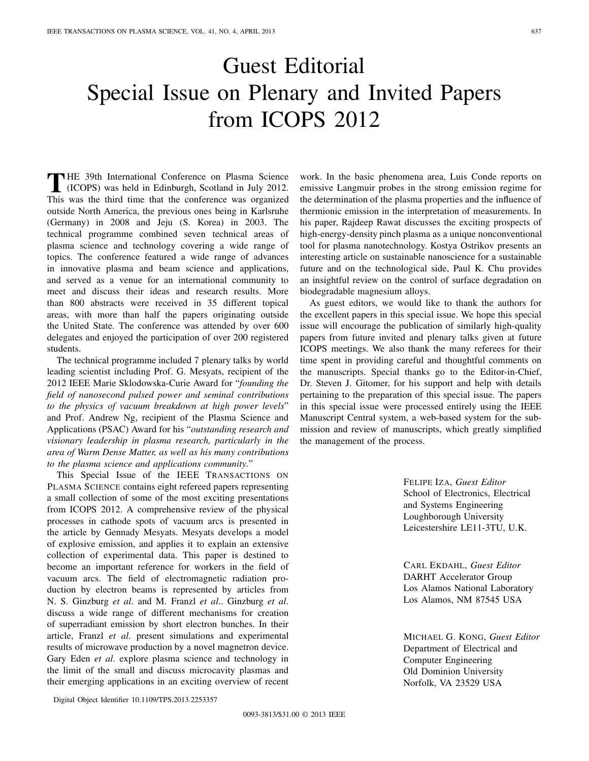# Guest Editorial Special Issue on Plenary and Invited Papers from ICOPS 2012

THE 39th International Conference on Plasma Science (ICOPS) was held in Edinburgh, Scotland in July 2012. This was the third time that the conference was organized outside North America, the previous ones being in Karlsruhe (Germany) in 2008 and Jeju (S. Korea) in 2003. The technical programme combined seven technical areas of plasma science and technology covering a wide range of topics. The conference featured a wide range of advances in innovative plasma and beam science and applications, and served as a venue for an international community to meet and discuss their ideas and research results. More than 800 abstracts were received in 35 different topical areas, with more than half the papers originating outside the United State. The conference was attended by over 600 delegates and enjoyed the participation of over 200 registered students.

The technical programme included 7 plenary talks by world leading scientist including Prof. G. Mesyats, recipient of the 2012 IEEE Marie Sklodowska-Curie Award for "*founding the field of nanosecond pulsed power and seminal contributions to the physics of vacuum breakdown at high power levels*" and Prof. Andrew Ng, recipient of the Plasma Science and Applications (PSAC) Award for his "*outstanding research and visionary leadership in plasma research, particularly in the area of Warm Dense Matter, as well as his many contributions to the plasma science and applications community*."

This Special Issue of the IEEE TRANSACTIONS ON PLASMA SCIENCE contains eight refereed papers representing a small collection of some of the most exciting presentations from ICOPS 2012. A comprehensive review of the physical processes in cathode spots of vacuum arcs is presented in the article by Gennady Mesyats. Mesyats develops a model of explosive emission, and applies it to explain an extensive collection of experimental data. This paper is destined to become an important reference for workers in the field of vacuum arcs. The field of electromagnetic radiation production by electron beams is represented by articles from N. S. Ginzburg *et al*. and M. Franzl *et al*.. Ginzburg *et al*. discuss a wide range of different mechanisms for creation of superradiant emission by short electron bunches. In their article, Franzl *et al*. present simulations and experimental results of microwave production by a novel magnetron device. Gary Eden *et al*. explore plasma science and technology in the limit of the small and discuss microcavity plasmas and their emerging applications in an exciting overview of recent work. In the basic phenomena area, Luis Conde reports on emissive Langmuir probes in the strong emission regime for the determination of the plasma properties and the influence of thermionic emission in the interpretation of measurements. In his paper, Rajdeep Rawat discusses the exciting prospects of high-energy-density pinch plasma as a unique nonconventional tool for plasma nanotechnology. Kostya Ostrikov presents an interesting article on sustainable nanoscience for a sustainable future and on the technological side, Paul K. Chu provides an insightful review on the control of surface degradation on biodegradable magnesium alloys.

As guest editors, we would like to thank the authors for the excellent papers in this special issue. We hope this special issue will encourage the publication of similarly high-quality papers from future invited and plenary talks given at future ICOPS meetings. We also thank the many referees for their time spent in providing careful and thoughtful comments on the manuscripts. Special thanks go to the Editor-in-Chief, Dr. Steven J. Gitomer, for his support and help with details pertaining to the preparation of this special issue. The papers in this special issue were processed entirely using the IEEE Manuscript Central system, a web-based system for the submission and review of manuscripts, which greatly simplified the management of the process.

> FELIPE IZA, *Guest Editor* School of Electronics, Electrical and Systems Engineering Loughborough University Leicestershire LE11-3TU, U.K.

CARL EKDAHL, *Guest Editor* DARHT Accelerator Group Los Alamos National Laboratory Los Alamos, NM 87545 USA

MICHAEL G. KONG, *Guest Editor* Department of Electrical and Computer Engineering Old Dominion University Norfolk, VA 23529 USA

Digital Object Identifier 10.1109/TPS.2013.2253357